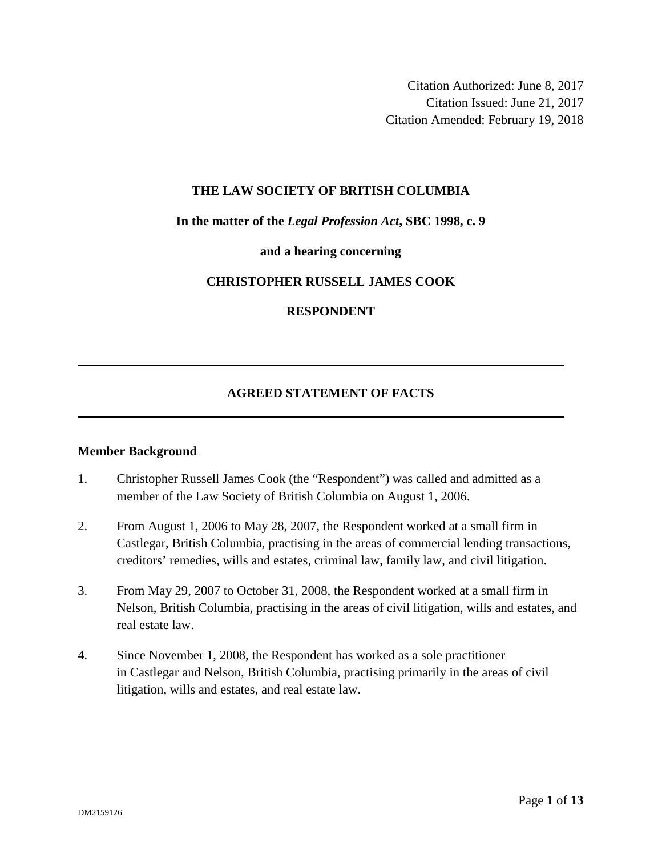Citation Authorized: June 8, 2017 Citation Issued: June 21, 2017 Citation Amended: February 19, 2018

#### **THE LAW SOCIETY OF BRITISH COLUMBIA**

### **In the matter of the** *Legal Profession Act***, SBC 1998, c. 9**

#### **and a hearing concerning**

### **CHRISTOPHER RUSSELL JAMES COOK**

### **RESPONDENT**

## **AGREED STATEMENT OF FACTS**

#### **Member Background**

- 1. Christopher Russell James Cook (the "Respondent") was called and admitted as a member of the Law Society of British Columbia on August 1, 2006.
- 2. From August 1, 2006 to May 28, 2007, the Respondent worked at a small firm in Castlegar, British Columbia, practising in the areas of commercial lending transactions, creditors' remedies, wills and estates, criminal law, family law, and civil litigation.
- 3. From May 29, 2007 to October 31, 2008, the Respondent worked at a small firm in Nelson, British Columbia, practising in the areas of civil litigation, wills and estates, and real estate law.
- 4. Since November 1, 2008, the Respondent has worked as a sole practitioner in Castlegar and Nelson, British Columbia, practising primarily in the areas of civil litigation, wills and estates, and real estate law.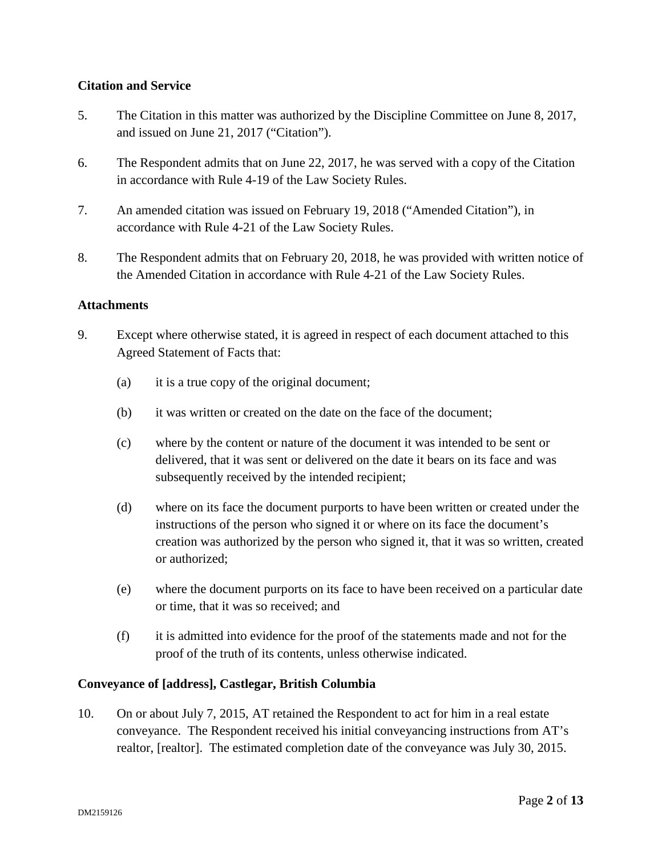# **Citation and Service**

- 5. The Citation in this matter was authorized by the Discipline Committee on June 8, 2017, and issued on June 21, 2017 ("Citation").
- 6. The Respondent admits that on June 22, 2017, he was served with a copy of the Citation in accordance with Rule 4-19 of the Law Society Rules.
- 7. An amended citation was issued on February 19, 2018 ("Amended Citation"), in accordance with Rule 4-21 of the Law Society Rules.
- 8. The Respondent admits that on February 20, 2018, he was provided with written notice of the Amended Citation in accordance with Rule 4-21 of the Law Society Rules.

# **Attachments**

- 9. Except where otherwise stated, it is agreed in respect of each document attached to this Agreed Statement of Facts that:
	- (a) it is a true copy of the original document;
	- (b) it was written or created on the date on the face of the document;
	- (c) where by the content or nature of the document it was intended to be sent or delivered, that it was sent or delivered on the date it bears on its face and was subsequently received by the intended recipient;
	- (d) where on its face the document purports to have been written or created under the instructions of the person who signed it or where on its face the document's creation was authorized by the person who signed it, that it was so written, created or authorized;
	- (e) where the document purports on its face to have been received on a particular date or time, that it was so received; and
	- (f) it is admitted into evidence for the proof of the statements made and not for the proof of the truth of its contents, unless otherwise indicated.

## **Conveyance of [address], Castlegar, British Columbia**

10. On or about July 7, 2015, AT retained the Respondent to act for him in a real estate conveyance. The Respondent received his initial conveyancing instructions from AT's realtor, [realtor]. The estimated completion date of the conveyance was July 30, 2015.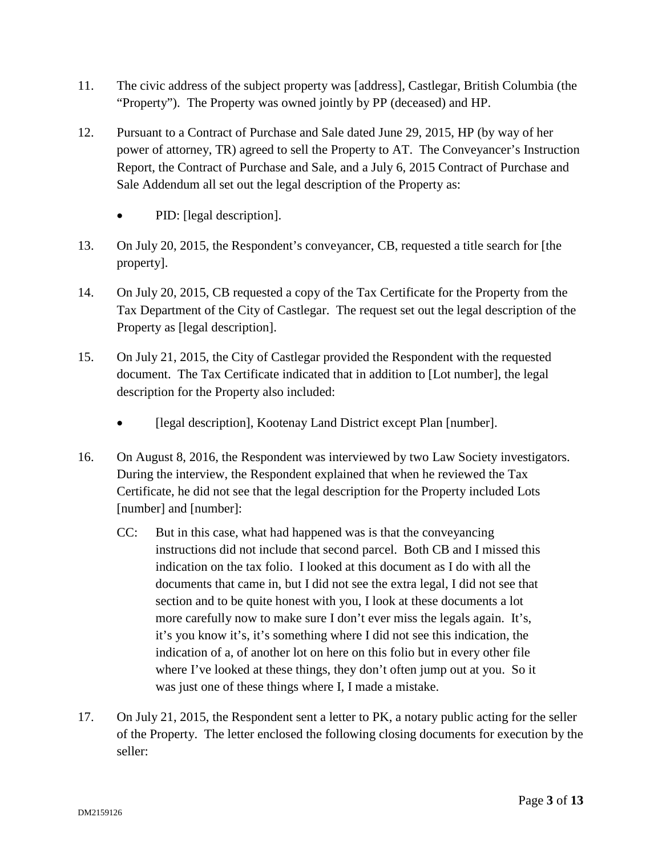- 11. The civic address of the subject property was [address], Castlegar, British Columbia (the "Property"). The Property was owned jointly by PP (deceased) and HP.
- 12. Pursuant to a Contract of Purchase and Sale dated June 29, 2015, HP (by way of her power of attorney, TR) agreed to sell the Property to AT. The Conveyancer's Instruction Report, the Contract of Purchase and Sale, and a July 6, 2015 Contract of Purchase and Sale Addendum all set out the legal description of the Property as:
	- PID: [legal description].
- 13. On July 20, 2015, the Respondent's conveyancer, CB, requested a title search for [the property].
- 14. On July 20, 2015, CB requested a copy of the Tax Certificate for the Property from the Tax Department of the City of Castlegar. The request set out the legal description of the Property as [legal description].
- 15. On July 21, 2015, the City of Castlegar provided the Respondent with the requested document. The Tax Certificate indicated that in addition to [Lot number], the legal description for the Property also included:
	- **Ilegal description]**, Kootenay Land District except Plan [number].
- 16. On August 8, 2016, the Respondent was interviewed by two Law Society investigators. During the interview, the Respondent explained that when he reviewed the Tax Certificate, he did not see that the legal description for the Property included Lots [number] and [number]:
	- CC: But in this case, what had happened was is that the conveyancing instructions did not include that second parcel. Both CB and I missed this indication on the tax folio. I looked at this document as I do with all the documents that came in, but I did not see the extra legal, I did not see that section and to be quite honest with you, I look at these documents a lot more carefully now to make sure I don't ever miss the legals again. It's, it's you know it's, it's something where I did not see this indication, the indication of a, of another lot on here on this folio but in every other file where I've looked at these things, they don't often jump out at you. So it was just one of these things where I, I made a mistake.
- 17. On July 21, 2015, the Respondent sent a letter to PK, a notary public acting for the seller of the Property. The letter enclosed the following closing documents for execution by the seller: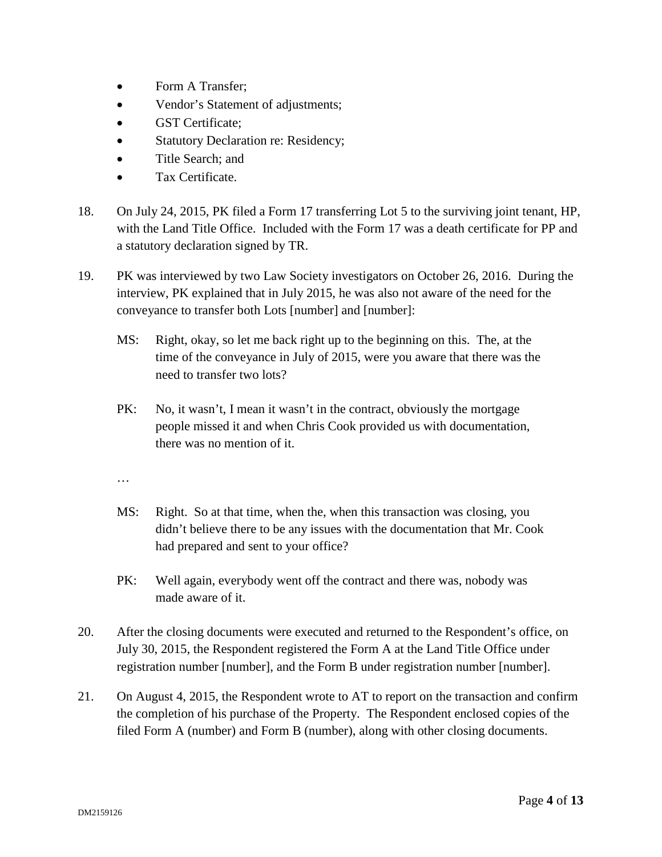- Form A Transfer;
- Vendor's Statement of adjustments;
- **GST Certificate:**
- Statutory Declaration re: Residency;
- Title Search: and
- Tax Certificate.
- 18. On July 24, 2015, PK filed a Form 17 transferring Lot 5 to the surviving joint tenant, HP, with the Land Title Office. Included with the Form 17 was a death certificate for PP and a statutory declaration signed by TR.
- 19. PK was interviewed by two Law Society investigators on October 26, 2016. During the interview, PK explained that in July 2015, he was also not aware of the need for the conveyance to transfer both Lots [number] and [number]:
	- MS: Right, okay, so let me back right up to the beginning on this. The, at the time of the conveyance in July of 2015, were you aware that there was the need to transfer two lots?
	- PK: No, it wasn't, I mean it wasn't in the contract, obviously the mortgage people missed it and when Chris Cook provided us with documentation, there was no mention of it.
	- …
	- MS: Right. So at that time, when the, when this transaction was closing, you didn't believe there to be any issues with the documentation that Mr. Cook had prepared and sent to your office?
	- PK: Well again, everybody went off the contract and there was, nobody was made aware of it.
- 20. After the closing documents were executed and returned to the Respondent's office, on July 30, 2015, the Respondent registered the Form A at the Land Title Office under registration number [number], and the Form B under registration number [number].
- 21. On August 4, 2015, the Respondent wrote to AT to report on the transaction and confirm the completion of his purchase of the Property. The Respondent enclosed copies of the filed Form A (number) and Form B (number), along with other closing documents.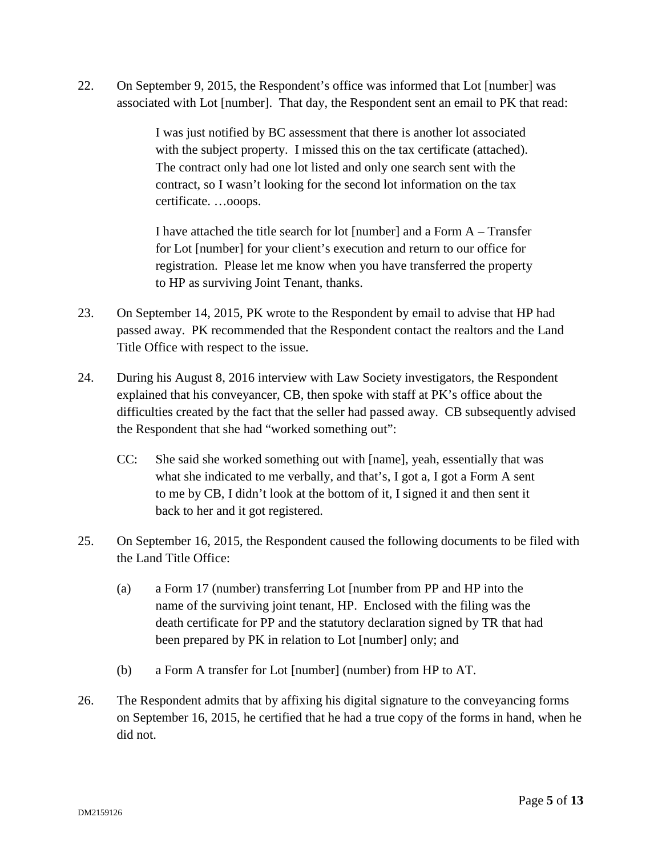22. On September 9, 2015, the Respondent's office was informed that Lot [number] was associated with Lot [number]. That day, the Respondent sent an email to PK that read:

> I was just notified by BC assessment that there is another lot associated with the subject property. I missed this on the tax certificate (attached). The contract only had one lot listed and only one search sent with the contract, so I wasn't looking for the second lot information on the tax certificate. …ooops.

I have attached the title search for lot [number] and a Form  $A - T$ ransfer for Lot [number] for your client's execution and return to our office for registration. Please let me know when you have transferred the property to HP as surviving Joint Tenant, thanks.

- 23. On September 14, 2015, PK wrote to the Respondent by email to advise that HP had passed away. PK recommended that the Respondent contact the realtors and the Land Title Office with respect to the issue.
- 24. During his August 8, 2016 interview with Law Society investigators, the Respondent explained that his conveyancer, CB, then spoke with staff at PK's office about the difficulties created by the fact that the seller had passed away. CB subsequently advised the Respondent that she had "worked something out":
	- CC: She said she worked something out with [name], yeah, essentially that was what she indicated to me verbally, and that's, I got a, I got a Form A sent to me by CB, I didn't look at the bottom of it, I signed it and then sent it back to her and it got registered.
- 25. On September 16, 2015, the Respondent caused the following documents to be filed with the Land Title Office:
	- (a) a Form 17 (number) transferring Lot [number from PP and HP into the name of the surviving joint tenant, HP. Enclosed with the filing was the death certificate for PP and the statutory declaration signed by TR that had been prepared by PK in relation to Lot [number] only; and
	- (b) a Form A transfer for Lot [number] (number) from HP to AT.
- 26. The Respondent admits that by affixing his digital signature to the conveyancing forms on September 16, 2015, he certified that he had a true copy of the forms in hand, when he did not.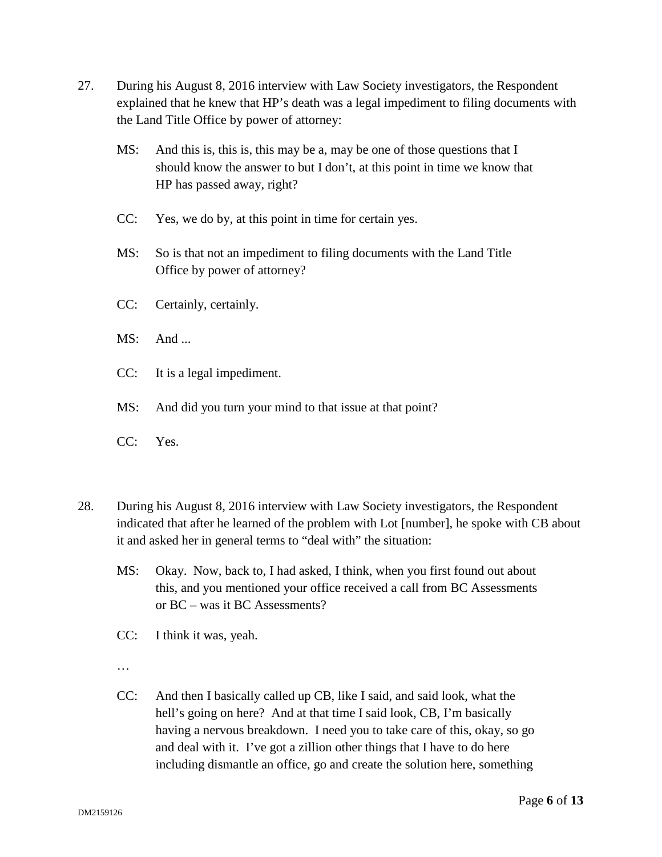- 27. During his August 8, 2016 interview with Law Society investigators, the Respondent explained that he knew that HP's death was a legal impediment to filing documents with the Land Title Office by power of attorney:
	- MS: And this is, this is, this may be a, may be one of those questions that I should know the answer to but I don't, at this point in time we know that HP has passed away, right?
	- CC: Yes, we do by, at this point in time for certain yes.
	- MS: So is that not an impediment to filing documents with the Land Title Office by power of attorney?
	- CC: Certainly, certainly.
	- MS: And ...
	- CC: It is a legal impediment.
	- MS: And did you turn your mind to that issue at that point?
	- CC: Yes.
- 28. During his August 8, 2016 interview with Law Society investigators, the Respondent indicated that after he learned of the problem with Lot [number], he spoke with CB about it and asked her in general terms to "deal with" the situation:
	- MS: Okay. Now, back to, I had asked, I think, when you first found out about this, and you mentioned your office received a call from BC Assessments or BC – was it BC Assessments?
	- CC: I think it was, yeah.
	- …
	- CC: And then I basically called up CB, like I said, and said look, what the hell's going on here? And at that time I said look, CB, I'm basically having a nervous breakdown. I need you to take care of this, okay, so go and deal with it. I've got a zillion other things that I have to do here including dismantle an office, go and create the solution here, something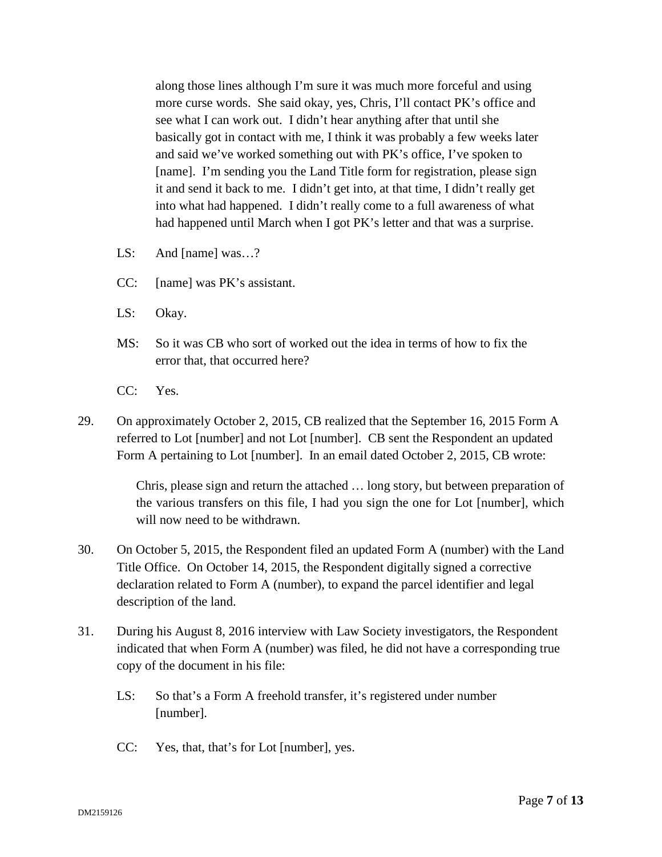along those lines although I'm sure it was much more forceful and using more curse words. She said okay, yes, Chris, I'll contact PK's office and see what I can work out. I didn't hear anything after that until she basically got in contact with me, I think it was probably a few weeks later and said we've worked something out with PK's office, I've spoken to [name]. I'm sending you the Land Title form for registration, please sign it and send it back to me. I didn't get into, at that time, I didn't really get into what had happened. I didn't really come to a full awareness of what had happened until March when I got PK's letter and that was a surprise.

- LS: And [name] was…?
- CC: [name] was PK's assistant.
- LS: Okay.
- MS: So it was CB who sort of worked out the idea in terms of how to fix the error that, that occurred here?
- CC: Yes.
- 29. On approximately October 2, 2015, CB realized that the September 16, 2015 Form A referred to Lot [number] and not Lot [number]. CB sent the Respondent an updated Form A pertaining to Lot [number]. In an email dated October 2, 2015, CB wrote:

Chris, please sign and return the attached … long story, but between preparation of the various transfers on this file, I had you sign the one for Lot [number], which will now need to be withdrawn.

- 30. On October 5, 2015, the Respondent filed an updated Form A (number) with the Land Title Office. On October 14, 2015, the Respondent digitally signed a corrective declaration related to Form A (number), to expand the parcel identifier and legal description of the land.
- 31. During his August 8, 2016 interview with Law Society investigators, the Respondent indicated that when Form A (number) was filed, he did not have a corresponding true copy of the document in his file:
	- LS: So that's a Form A freehold transfer, it's registered under number [number].
	- CC: Yes, that, that's for Lot [number], yes.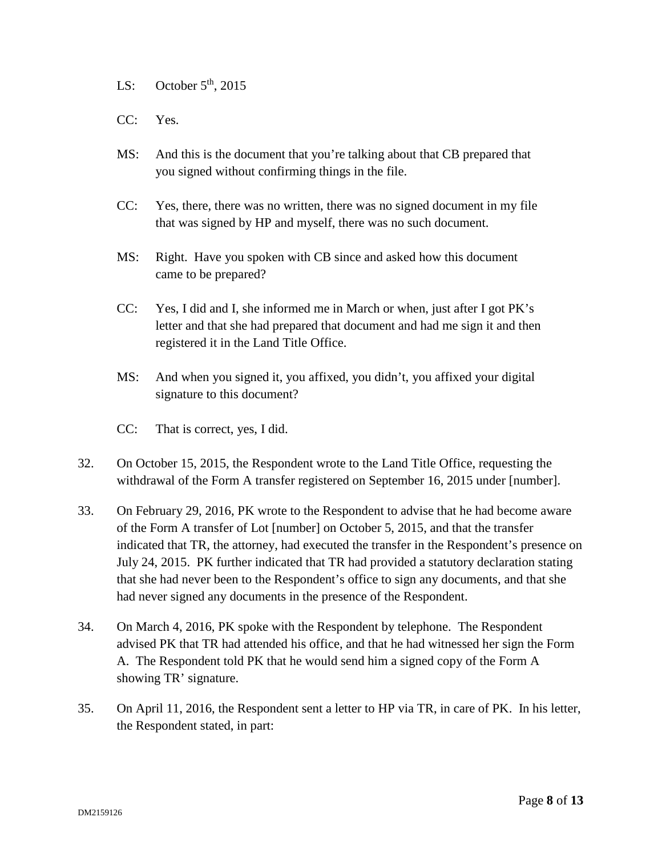LS: October  $5<sup>th</sup>$ , 2015

- CC: Yes.
- MS: And this is the document that you're talking about that CB prepared that you signed without confirming things in the file.
- CC: Yes, there, there was no written, there was no signed document in my file that was signed by HP and myself, there was no such document.
- MS: Right. Have you spoken with CB since and asked how this document came to be prepared?
- CC: Yes, I did and I, she informed me in March or when, just after I got PK's letter and that she had prepared that document and had me sign it and then registered it in the Land Title Office.
- MS: And when you signed it, you affixed, you didn't, you affixed your digital signature to this document?
- CC: That is correct, yes, I did.
- 32. On October 15, 2015, the Respondent wrote to the Land Title Office, requesting the withdrawal of the Form A transfer registered on September 16, 2015 under [number].
- 33. On February 29, 2016, PK wrote to the Respondent to advise that he had become aware of the Form A transfer of Lot [number] on October 5, 2015, and that the transfer indicated that TR, the attorney, had executed the transfer in the Respondent's presence on July 24, 2015. PK further indicated that TR had provided a statutory declaration stating that she had never been to the Respondent's office to sign any documents, and that she had never signed any documents in the presence of the Respondent.
- 34. On March 4, 2016, PK spoke with the Respondent by telephone. The Respondent advised PK that TR had attended his office, and that he had witnessed her sign the Form A. The Respondent told PK that he would send him a signed copy of the Form A showing TR' signature.
- 35. On April 11, 2016, the Respondent sent a letter to HP via TR, in care of PK. In his letter, the Respondent stated, in part: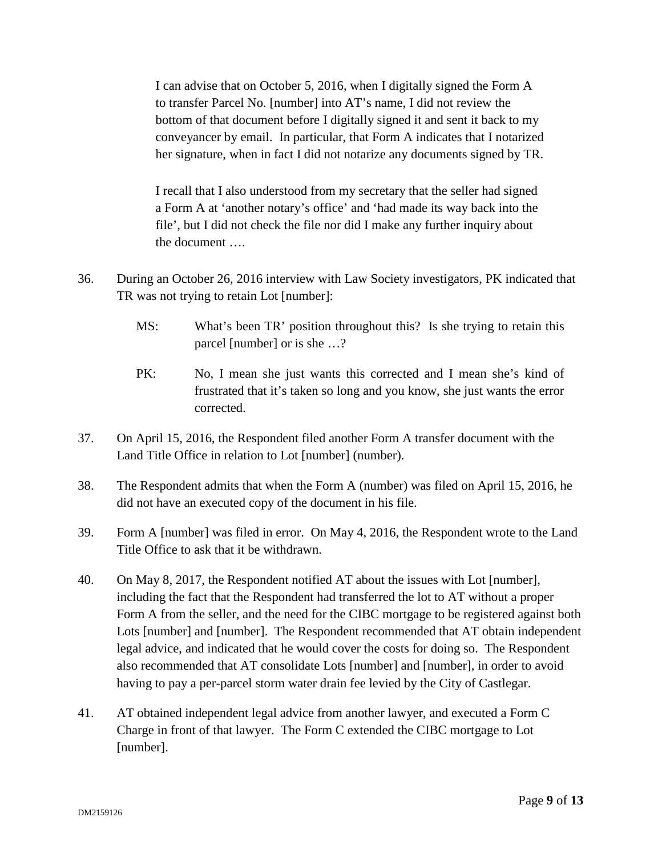I can advise that on October 5, 2016, when I digitally signed the Form A to transfer Parcel No. [number] into AT's name, I did not review the bottom of that document before I digitally signed it and sent it back to my conveyancer by email. In particular, that Form A indicates that I notarized her signature, when in fact I did not notarize any documents signed by TR.

I recall that I also understood from my secretary that the seller had signed a Form A at 'another notary's office' and 'had made its way back into the file', but I did not check the file nor did I make any further inquiry about the document ….

- 36. During an October 26, 2016 interview with Law Society investigators, PK indicated that TR was not trying to retain Lot [number]:
	- MS: What's been TR' position throughout this? Is she trying to retain this parcel [number] or is she …?
	- PK: No, I mean she just wants this corrected and I mean she's kind of frustrated that it's taken so long and you know, she just wants the error corrected.
- 37. On April 15, 2016, the Respondent filed another Form A transfer document with the Land Title Office in relation to Lot [number] (number).
- 38. The Respondent admits that when the Form A (number) was filed on April 15, 2016, he did not have an executed copy of the document in his file.
- 39. Form A [number] was filed in error. On May 4, 2016, the Respondent wrote to the Land Title Office to ask that it be withdrawn.
- 40. On May 8, 2017, the Respondent notified AT about the issues with Lot [number], including the fact that the Respondent had transferred the lot to AT without a proper Form A from the seller, and the need for the CIBC mortgage to be registered against both Lots [number] and [number]. The Respondent recommended that AT obtain independent legal advice, and indicated that he would cover the costs for doing so. The Respondent also recommended that AT consolidate Lots [number] and [number], in order to avoid having to pay a per-parcel storm water drain fee levied by the City of Castlegar.
- 41. AT obtained independent legal advice from another lawyer, and executed a Form C Charge in front of that lawyer. The Form C extended the CIBC mortgage to Lot [number].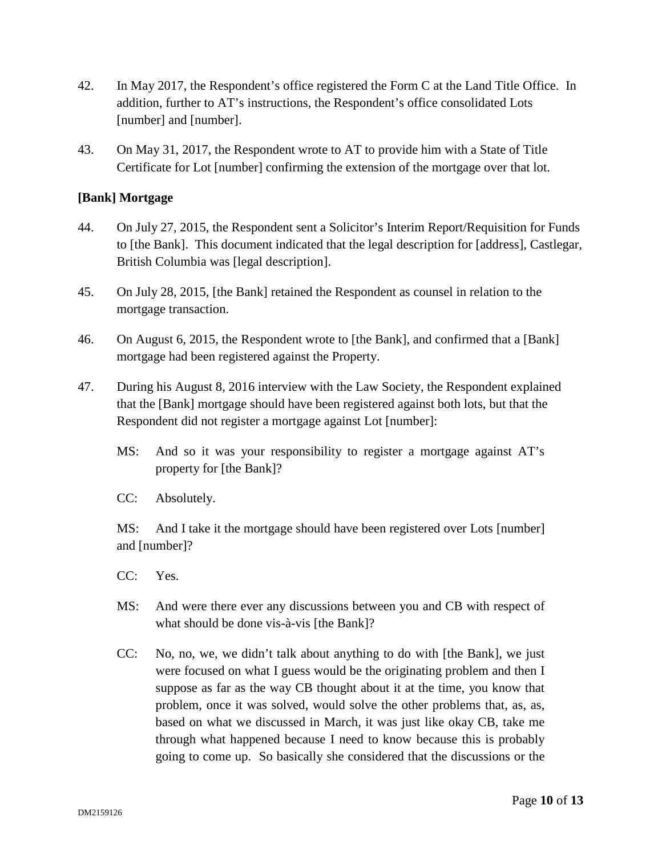- 42. In May 2017, the Respondent's office registered the Form C at the Land Title Office. In addition, further to AT's instructions, the Respondent's office consolidated Lots [number] and [number].
- 43. On May 31, 2017, the Respondent wrote to AT to provide him with a State of Title Certificate for Lot [number] confirming the extension of the mortgage over that lot.

## **[Bank] Mortgage**

- 44. On July 27, 2015, the Respondent sent a Solicitor's Interim Report/Requisition for Funds to [the Bank]. This document indicated that the legal description for [address], Castlegar, British Columbia was [legal description].
- 45. On July 28, 2015, [the Bank] retained the Respondent as counsel in relation to the mortgage transaction.
- 46. On August 6, 2015, the Respondent wrote to [the Bank], and confirmed that a [Bank] mortgage had been registered against the Property.
- 47. During his August 8, 2016 interview with the Law Society, the Respondent explained that the [Bank] mortgage should have been registered against both lots, but that the Respondent did not register a mortgage against Lot [number]:
	- MS: And so it was your responsibility to register a mortgage against AT's property for [the Bank]?
	- CC: Absolutely.

MS: And I take it the mortgage should have been registered over Lots [number] and [number]?

- CC: Yes.
- MS: And were there ever any discussions between you and CB with respect of what should be done vis-à-vis [the Bank]?
- CC: No, no, we, we didn't talk about anything to do with [the Bank], we just were focused on what I guess would be the originating problem and then I suppose as far as the way CB thought about it at the time, you know that problem, once it was solved, would solve the other problems that, as, as, based on what we discussed in March, it was just like okay CB, take me through what happened because I need to know because this is probably going to come up. So basically she considered that the discussions or the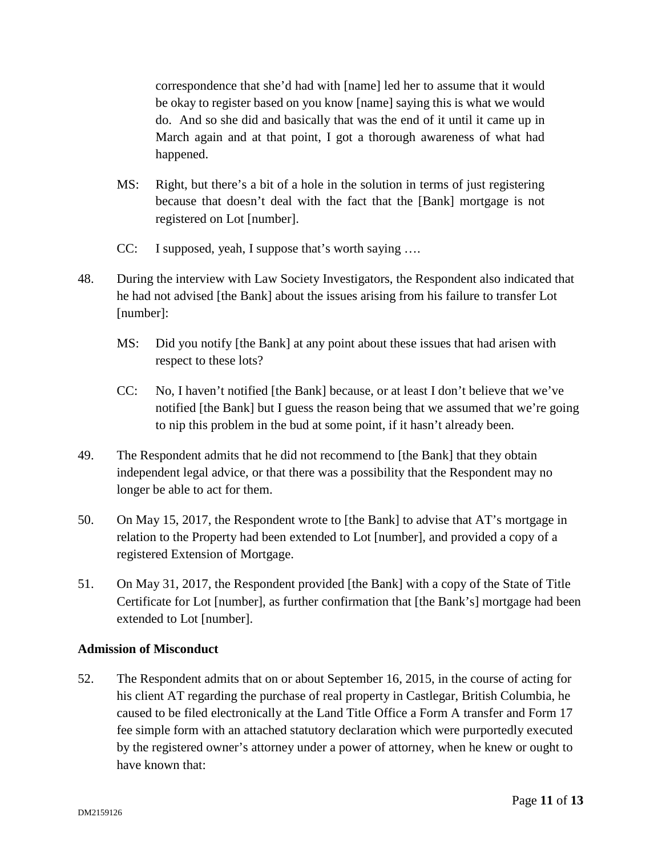correspondence that she'd had with [name] led her to assume that it would be okay to register based on you know [name] saying this is what we would do. And so she did and basically that was the end of it until it came up in March again and at that point, I got a thorough awareness of what had happened.

- MS: Right, but there's a bit of a hole in the solution in terms of just registering because that doesn't deal with the fact that the [Bank] mortgage is not registered on Lot [number].
- CC: I supposed, yeah, I suppose that's worth saying ….
- 48. During the interview with Law Society Investigators, the Respondent also indicated that he had not advised [the Bank] about the issues arising from his failure to transfer Lot [number]:
	- MS: Did you notify [the Bank] at any point about these issues that had arisen with respect to these lots?
	- CC: No, I haven't notified [the Bank] because, or at least I don't believe that we've notified [the Bank] but I guess the reason being that we assumed that we're going to nip this problem in the bud at some point, if it hasn't already been.
- 49. The Respondent admits that he did not recommend to [the Bank] that they obtain independent legal advice, or that there was a possibility that the Respondent may no longer be able to act for them.
- 50. On May 15, 2017, the Respondent wrote to [the Bank] to advise that AT's mortgage in relation to the Property had been extended to Lot [number], and provided a copy of a registered Extension of Mortgage.
- 51. On May 31, 2017, the Respondent provided [the Bank] with a copy of the State of Title Certificate for Lot [number], as further confirmation that [the Bank's] mortgage had been extended to Lot [number].

## **Admission of Misconduct**

52. The Respondent admits that on or about September 16, 2015, in the course of acting for his client AT regarding the purchase of real property in Castlegar, British Columbia, he caused to be filed electronically at the Land Title Office a Form A transfer and Form 17 fee simple form with an attached statutory declaration which were purportedly executed by the registered owner's attorney under a power of attorney, when he knew or ought to have known that: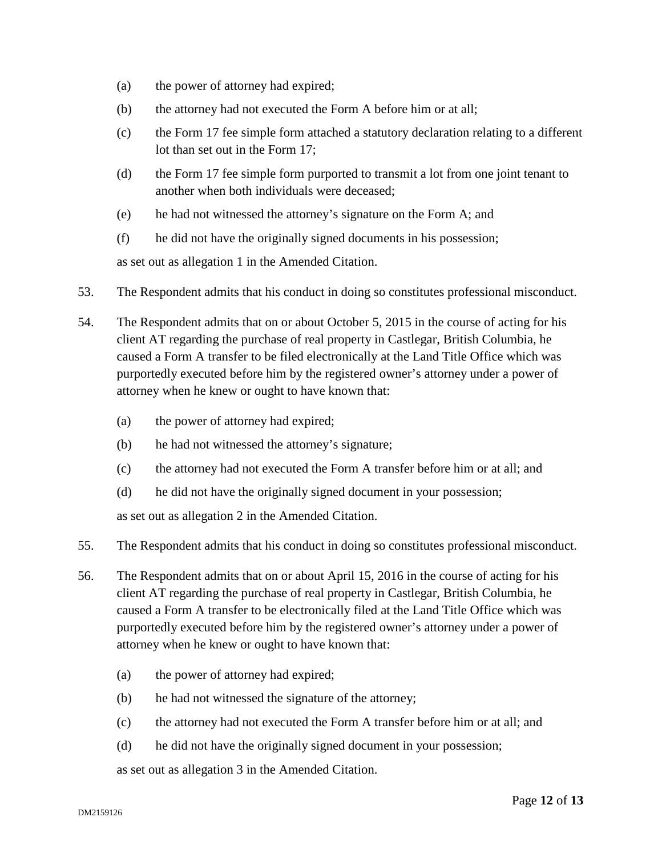- (a) the power of attorney had expired;
- (b) the attorney had not executed the Form A before him or at all;
- (c) the Form 17 fee simple form attached a statutory declaration relating to a different lot than set out in the Form 17;
- (d) the Form 17 fee simple form purported to transmit a lot from one joint tenant to another when both individuals were deceased;
- (e) he had not witnessed the attorney's signature on the Form A; and
- (f) he did not have the originally signed documents in his possession;

as set out as allegation 1 in the Amended Citation.

- 53. The Respondent admits that his conduct in doing so constitutes professional misconduct.
- 54. The Respondent admits that on or about October 5, 2015 in the course of acting for his client AT regarding the purchase of real property in Castlegar, British Columbia, he caused a Form A transfer to be filed electronically at the Land Title Office which was purportedly executed before him by the registered owner's attorney under a power of attorney when he knew or ought to have known that:
	- (a) the power of attorney had expired;
	- (b) he had not witnessed the attorney's signature;
	- (c) the attorney had not executed the Form A transfer before him or at all; and
	- (d) he did not have the originally signed document in your possession;

as set out as allegation 2 in the Amended Citation.

- 55. The Respondent admits that his conduct in doing so constitutes professional misconduct.
- 56. The Respondent admits that on or about April 15, 2016 in the course of acting for his client AT regarding the purchase of real property in Castlegar, British Columbia, he caused a Form A transfer to be electronically filed at the Land Title Office which was purportedly executed before him by the registered owner's attorney under a power of attorney when he knew or ought to have known that:
	- (a) the power of attorney had expired;
	- (b) he had not witnessed the signature of the attorney;
	- (c) the attorney had not executed the Form A transfer before him or at all; and
	- (d) he did not have the originally signed document in your possession;

as set out as allegation 3 in the Amended Citation.